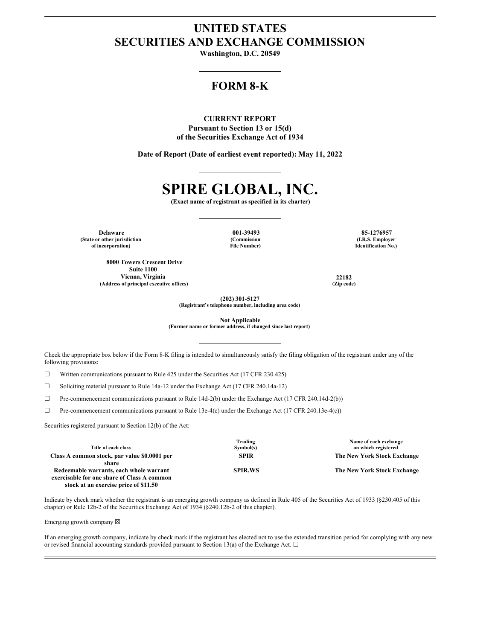# **UNITED STATES SECURITIES AND EXCHANGE COMMISSION**

**Washington, D.C. 20549**

# **FORM 8-K**

# **CURRENT REPORT**

**Pursuant to Section 13 or 15(d) of the Securities Exchange Act of 1934**

**Date of Report (Date of earliest event reported): May 11, 2022**

# **SPIRE GLOBAL, INC.**

**(Exact name of registrant as specified in its charter)**

**Delaware 001-39493 85-1276957 (State or other jurisdiction of incorporation)**

**(Commission File Number)**

**8000 Towers Crescent Drive Suite 1100 Vienna, Virginia 22182 (Address of principal executive offices) (Zip code)**

**(I.R.S. Employer Identification No.)**

**(202) 301-5127**

**(Registrant's telephone number, including area code)**

**Not Applicable**

**(Former name or former address, if changed since last report)**

Check the appropriate box below if the Form 8-K filing is intended to simultaneously satisfy the filing obligation of the registrant under any of the following provisions:

☐ Written communications pursuant to Rule 425 under the Securities Act (17 CFR 230.425)

☐ Soliciting material pursuant to Rule 14a-12 under the Exchange Act (17 CFR 240.14a-12)

☐ Pre-commencement communications pursuant to Rule 14d-2(b) under the Exchange Act (17 CFR 240.14d-2(b))

☐ Pre-commencement communications pursuant to Rule 13e-4(c) under the Exchange Act (17 CFR 240.13e-4(c))

Securities registered pursuant to Section 12(b) of the Act:

| Title of each class                          | Trading<br>Symbol(s) | Name of each exchange<br>on which registered |
|----------------------------------------------|----------------------|----------------------------------------------|
| Class A common stock, par value \$0.0001 per | <b>SPIR</b>          | The New York Stock Exchange                  |
| share                                        |                      |                                              |
| Redeemable warrants, each whole warrant      | <b>SPIR.WS</b>       | The New York Stock Exchange                  |
| exercisable for one share of Class A common  |                      |                                              |
| stock at an exercise price of \$11.50        |                      |                                              |

Indicate by check mark whether the registrant is an emerging growth company as defined in Rule 405 of the Securities Act of 1933 (§230.405 of this chapter) or Rule 12b-2 of the Securities Exchange Act of 1934 (§240.12b-2 of this chapter).

Emerging growth company  $\boxtimes$ 

If an emerging growth company, indicate by check mark if the registrant has elected not to use the extended transition period for complying with any new or revised financial accounting standards provided pursuant to Section 13(a) of the Exchange Act.  $\Box$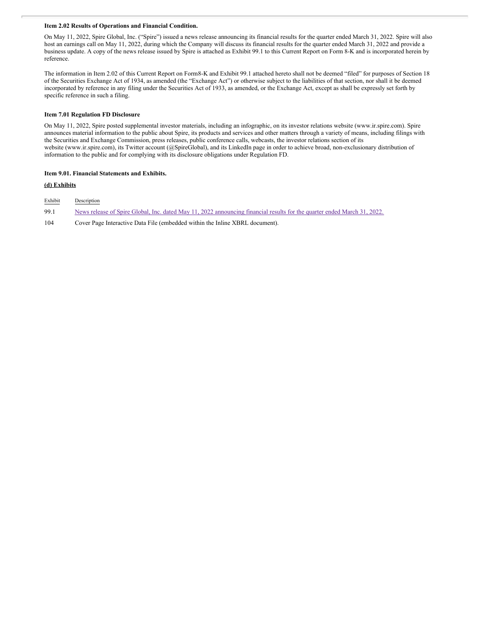# **Item 2.02 Results of Operations and Financial Condition.**

On May 11, 2022, Spire Global, Inc. ("Spire") issued a news release announcing its financial results for the quarter ended March 31, 2022. Spire will also host an earnings call on May 11, 2022, during which the Company will discuss its financial results for the quarter ended March 31, 2022 and provide a business update. A copy of the news release issued by Spire is attached as Exhibit 99.1 to this Current Report on Form 8-K and is incorporated herein by reference.

The information in Item 2.02 of this Current Report on Form8-K and Exhibit 99.1 attached hereto shall not be deemed "filed" for purposes of Section 18 of the Securities Exchange Act of 1934, as amended (the "Exchange Act") or otherwise subject to the liabilities of that section, nor shall it be deemed incorporated by reference in any filing under the Securities Act of 1933, as amended, or the Exchange Act, except as shall be expressly set forth by specific reference in such a filing.

## **Item 7.01 Regulation FD Disclosure**

On May 11, 2022, Spire posted supplemental investor materials, including an infographic, on its investor relations website (www.ir.spire.com). Spire announces material information to the public about Spire, its products and services and other matters through a variety of means, including filings with the Securities and Exchange Commission, press releases, public conference calls, webcasts, the investor relations section of its website (www.ir.spire.com), its Twitter account (@SpireGlobal), and its LinkedIn page in order to achieve broad, non-exclusionary distribution of information to the public and for complying with its disclosure obligations under Regulation FD.

# **Item 9.01. Financial Statements and Exhibits.**

# **(d) Exhibits**

| Exhibit | Description                                                                                                              |
|---------|--------------------------------------------------------------------------------------------------------------------------|
| 99.1    | News release of Spire Global, Inc. dated May 11, 2022 announcing financial results for the quarter ended March 31, 2022. |
| 104     | Cover Page Interactive Data File (embedded within the Inline XBRL document).                                             |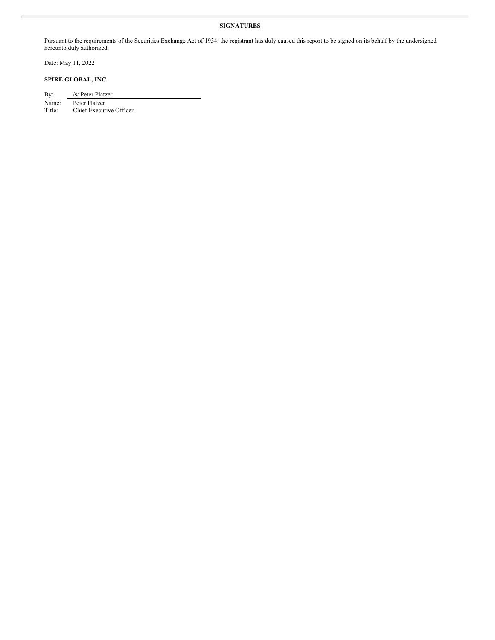# **SIGNATURES**

Pursuant to the requirements of the Securities Exchange Act of 1934, the registrant has duly caused this report to be signed on its behalf by the undersigned hereunto duly authorized.

Date: May 11, 2022

# **SPIRE GLOBAL, INC.**

| By:   | /s/ Peter Platzer |
|-------|-------------------|
| Name: | Peter Platzer     |
| ---   |                   |

Title: Chief Executive Officer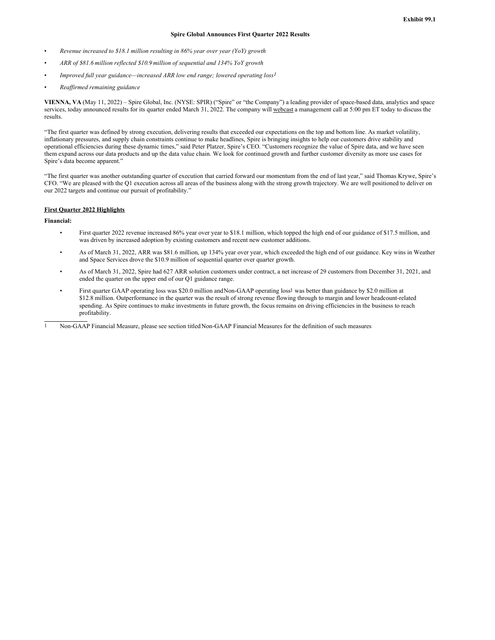# **Spire Global Announces First Quarter 2022 Results**

- *Revenue increased to \$18.1 million resulting in 86% year over year (YoY) growth*
- *ARR of \$81.6 million reflected \$10.9 million of sequential and 134% YoY growth*
- *Improved full year guidance—increased ARR low end range; lowered operating loss1*
- *Reaf irmed remaining guidance*

**VIENNA, VA** (May 11, 2022) – Spire Global, Inc. (NYSE: SPIR) ("Spire" or "the Company") a leading provider of space-based data, analytics and space services, today announced results for its quarter ended March 31, 2022. The company will webcast a management call at 5:00 pm ET today to discuss the results.

"The first quarter was defined by strong execution, delivering results that exceeded our expectations on the top and bottom line. As market volatility, inflationary pressures, and supply chain constraints continue to make headlines, Spire is bringing insights to help our customers drive stability and operational efficiencies during these dynamic times," said Peter Platzer, Spire's CEO. "Customers recognize the value of Spire data, and we have seen them expand across our data products and up the data value chain. We look for continued growth and further customer diversity as more use cases for Spire's data become apparent."

"The first quarter was another outstanding quarter of execution that carried forward our momentum from the end of last year," said Thomas Krywe, Spire's CFO. "We are pleased with the Q1 execution across all areas of the business along with the strong growth trajectory. We are well positioned to deliver on our 2022 targets and continue our pursuit of profitability."

# **First Quarter 2022 Highlights**

**Financial:**

- First quarter 2022 revenue increased 86% year over year to \$18.1 million, which topped the high end of our guidance of \$17.5 million, and was driven by increased adoption by existing customers and recent new customer additions.
- As of March 31, 2022, ARR was \$81.6 million, up 134% year over year, which exceeded the high end of our guidance. Key wins in Weather and Space Services drove the \$10.9 million of sequential quarter over quarter growth.
- As of March 31, 2022, Spire had 627 ARR solution customers under contract, a net increase of 29 customers from December 31, 2021, and ended the quarter on the upper end of our Q1 guidance range.
- First quarter GAAP operating loss was \$20.0 million andNon-GAAP operating loss1 was better than guidance by \$2.0 million at \$12.8 million. Outperformance in the quarter was the result of strong revenue flowing through to margin and lower headcount-related spending. As Spire continues to make investments in future growth, the focus remains on driving efficiencies in the business to reach profitability.

<sup>1</sup> Non-GAAP Financial Measure, please see section titledNon-GAAP Financial Measures for the definition of such measures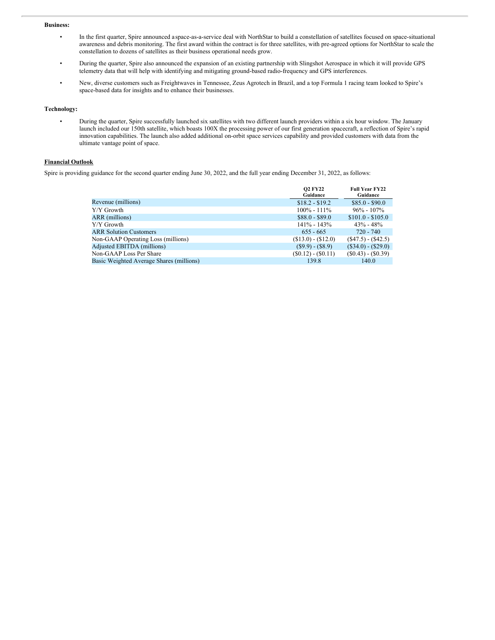#### **Business:**

- In the first quarter, Spire announced aspace-as-a-service deal with NorthStar to build a constellation of satellites focused on space-situational awareness and debris monitoring. The first award within the contract is for three satellites, with pre-agreed options for NorthStar to scale the constellation to dozens of satellites as their business operational needs grow.
- During the quarter, Spire also announced the expansion of an existing partnership with Slingshot Aerospace in which it will provide GPS telemetry data that will help with identifying and mitigating ground-based radio-frequency and GPS interferences.
- New, diverse customers such as Freightwaves in Tennessee, Zeus Agrotech in Brazil, and a top Formula 1 racing team looked to Spire's space-based data for insights and to enhance their businesses.

## **Technology:**

• During the quarter, Spire successfully launched six satellites with two different launch providers within a six hour window. The January launch included our 150th satellite, which boasts 100X the processing power of our first generation spacecraft, a reflection of Spire's rapid innovation capabilities. The launch also added additional on-orbit space services capability and provided customers with data from the ultimate vantage point of space.

# **Financial Outlook**

Spire is providing guidance for the second quarter ending June 30, 2022, and the full year ending December 31, 2022, as follows:

|                                          | <b>O2 FY22</b><br>Guidance | <b>Full Year FY22</b><br>Guidance |
|------------------------------------------|----------------------------|-----------------------------------|
| Revenue (millions)                       | $$18.2 - $19.2$            | $$85.0 - $90.0$                   |
| Y/Y Growth                               | $100\% - 111\%$            | $96\% - 107\%$                    |
| ARR (millions)                           | $$88.0 - $89.0$            | $$101.0 - $105.0$                 |
| Y/Y Growth                               | $141\% - 143\%$            | $43\% - 48\%$                     |
| <b>ARR Solution Customers</b>            | $655 - 665$                | 720 - 740                         |
| Non-GAAP Operating Loss (millions)       | $($13.0) - ($12.0)$        | $(S47.5) - (\$42.5)$              |
| <b>Adjusted EBITDA</b> (millions)        | $(S9.9) - (S8.9)$          | $(\$34.0) - (\$29.0)$             |
| Non-GAAP Loss Per Share                  | $(S0.12) - (S0.11)$        | $(\$0.43) - (\$0.39)$             |
| Basic Weighted Average Shares (millions) | 139.8                      | 140.0                             |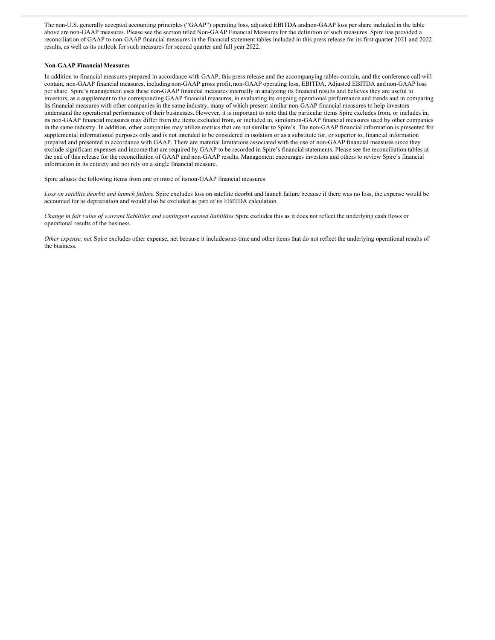The non-U.S. generally accepted accounting principles ("GAAP") operating loss, adjusted EBITDA andnon-GAAP loss per share included in the table above are non-GAAP measures. Please see the section titled Non-GAAP Financial Measures for the definition of such measures. Spire has provided a reconciliation of GAAP to non-GAAP financial measures in the financial statement tables included in this press release for its first quarter 2021 and 2022 results, as well as its outlook for such measures for second quarter and full year 2022.

#### **Non-GAAP Financial Measures**

In addition to financial measures prepared in accordance with GAAP, this press release and the accompanying tables contain, and the conference call will contain, non-GAAP financial measures, including non-GAAP gross profit, non-GAAP operating loss, EBITDA, Adjusted EBITDA and non-GAAP loss per share. Spire's management uses these non-GAAP financial measures internally in analyzing its financial results and believes they are useful to investors, as a supplement to the corresponding GAAP financial measures, in evaluating its ongoing operational performance and trends and in comparing its financial measures with other companies in the same industry, many of which present similar non-GAAP financial measures to help investors understand the operational performance of their businesses. However, it is important to note that the particular items Spire excludes from, or includes in, its non-GAAP financial measures may differ from the items excluded from, or included in, similarnon-GAAP financial measures used by other companies in the same industry. In addition, other companies may utilize metrics that are not similar to Spire's. The non-GAAP financial information is presented for supplemental informational purposes only and is not intended to be considered in isolation or as a substitute for, or superior to, financial information prepared and presented in accordance with GAAP. There are material limitations associated with the use of non-GAAP financial measures since they exclude significant expenses and income that are required by GAAP to be recorded in Spire's financial statements. Please see the reconciliation tables at the end of this release for the reconciliation of GAAP and non-GAAP results. Management encourages investors and others to review Spire's financial information in its entirety and not rely on a single financial measure.

Spire adjusts the following items from one or more of itsnon-GAAP financial measures:

*Loss on satellite deorbit and launch failure.* Spire excludes loss on satellite deorbit and launch failure because if there was no loss, the expense would be accounted for as depreciation and would also be excluded as part of its EBITDA calculation.

Change in fair value of warrant liabilities and contingent earned liabilities. Spire excludes this as it does not reflect the underlying cash flows or operational results of the business.

*Other expense, net.*Spire excludes other expense, net because it includesone-time and other items that do not reflect the underlying operational results of the business.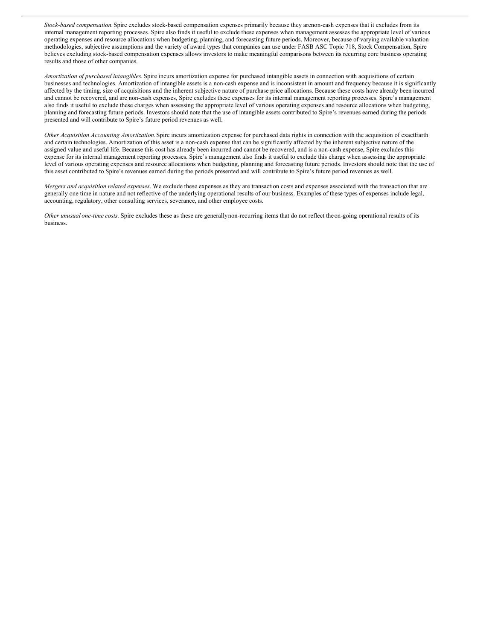*Stock-based compensation.*Spire excludes stock-based compensation expenses primarily because they arenon-cash expenses that it excludes from its internal management reporting processes. Spire also finds it useful to exclude these expenses when management assesses the appropriate level of various operating expenses and resource allocations when budgeting, planning, and forecasting future periods. Moreover, because of varying available valuation methodologies, subjective assumptions and the variety of award types that companies can use under FASB ASC Topic 718, Stock Compensation, Spire believes excluding stock-based compensation expenses allows investors to make meaningful comparisons between its recurring core business operating results and those of other companies.

*Amortization of purchased intangibles.* Spire incurs amortization expense for purchased intangible assets in connection with acquisitions of certain businesses and technologies. Amortization of intangible assets is a non-cash expense and is inconsistent in amount and frequency because it is significantly affected by the timing, size of acquisitions and the inherent subjective nature of purchase price allocations. Because these costs have already been incurred and cannot be recovered, and are non-cash expenses, Spire excludes these expenses for its internal management reporting processes. Spire's management also finds it useful to exclude these charges when assessing the appropriate level of various operating expenses and resource allocations when budgeting, planning and forecasting future periods. Investors should note that the use of intangible assets contributed to Spire's revenues earned during the periods presented and will contribute to Spire's future period revenues as well.

*Other Acquisition Accounting Amortization.*Spire incurs amortization expense for purchased data rights in connection with the acquisition of exactEarth and certain technologies. Amortization of this asset is a non-cash expense that can be significantly affected by the inherent subjective nature of the assigned value and useful life. Because this cost has already been incurred and cannot be recovered, and is a non-cash expense, Spire excludes this expense for its internal management reporting processes. Spire's management also finds it useful to exclude this charge when assessing the appropriate level of various operating expenses and resource allocations when budgeting, planning and forecasting future periods. Investors should note that the use of this asset contributed to Spire's revenues earned during the periods presented and will contribute to Spire's future period revenues as well.

*Mergers and acquisition related expenses*. We exclude these expenses as they are transaction costs and expenses associated with the transaction that are generally one time in nature and not reflective of the underlying operational results of our business. Examples of these types of expenses include legal, accounting, regulatory, other consulting services, severance, and other employee costs.

*Other unusual one-time costs.* Spire excludes these as these are generallynon-recurring items that do not reflect theon-going operational results of its business.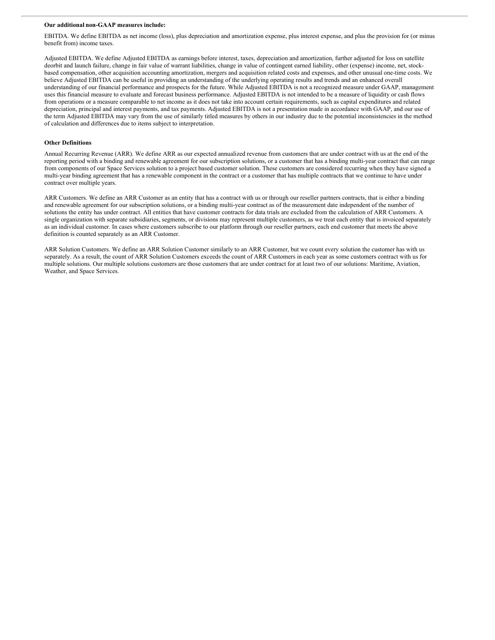#### **Our additional non-GAAP measures include:**

EBITDA. We define EBITDA as net income (loss), plus depreciation and amortization expense, plus interest expense, and plus the provision for (or minus benefit from) income taxes.

Adjusted EBITDA. We define Adjusted EBITDA as earnings before interest, taxes, depreciation and amortization, further adjusted for loss on satellite deorbit and launch failure, change in fair value of warrant liabilities, change in value of contingent earned liability, other (expense) income, net, stockbased compensation, other acquisition accounting amortization, mergers and acquisition related costs and expenses, and other unusual one-time costs. We believe Adjusted EBITDA can be useful in providing an understanding of the underlying operating results and trends and an enhanced overall understanding of our financial performance and prospects for the future. While Adjusted EBITDA is not a recognized measure under GAAP, management uses this financial measure to evaluate and forecast business performance. Adjusted EBITDA is not intended to be a measure of liquidity or cash flows from operations or a measure comparable to net income as it does not take into account certain requirements, such as capital expenditures and related depreciation, principal and interest payments, and tax payments. Adjusted EBITDA is not a presentation made in accordance with GAAP, and our use of the term Adjusted EBITDA may vary from the use of similarly titled measures by others in our industry due to the potential inconsistencies in the method of calculation and differences due to items subject to interpretation.

### **Other Definitions**

Annual Recurring Revenue (ARR). We define ARR as our expected annualized revenue from customers that are under contract with us at the end of the reporting period with a binding and renewable agreement for our subscription solutions, or a customer that has a binding multi-year contract that can range from components of our Space Services solution to a project based customer solution. These customers are considered recurring when they have signed a multi-year binding agreement that has a renewable component in the contract or a customer that has multiple contracts that we continue to have under contract over multiple years.

ARR Customers. We define an ARR Customer as an entity that has a contract with us or through our reseller partners contracts, that is either a binding and renewable agreement for our subscription solutions, or a binding multi-year contract as of the measurement date independent of the number of solutions the entity has under contract. All entities that have customer contracts for data trials are excluded from the calculation of ARR Customers. A single organization with separate subsidiaries, segments, or divisions may represent multiple customers, as we treat each entity that is invoiced separately as an individual customer. In cases where customers subscribe to our platform through our reseller partners, each end customer that meets the above definition is counted separately as an ARR Customer.

ARR Solution Customers. We define an ARR Solution Customer similarly to an ARR Customer, but we count every solution the customer has with us separately. As a result, the count of ARR Solution Customers exceeds the count of ARR Customers in each year as some customers contract with us for multiple solutions. Our multiple solutions customers are those customers that are under contract for at least two of our solutions: Maritime, Aviation, Weather, and Space Services.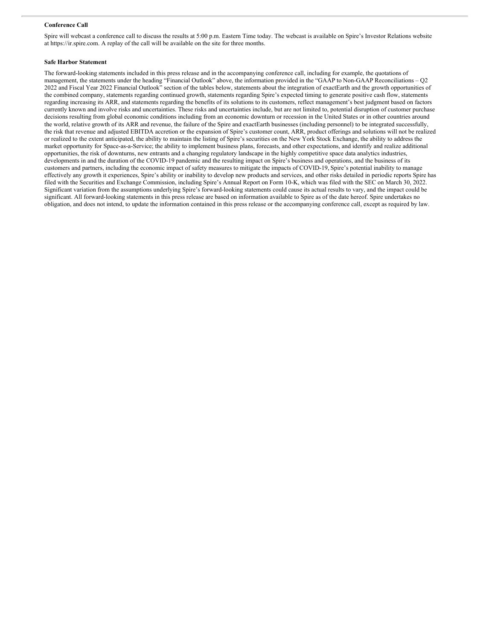#### **Conference Call**

Spire will webcast a conference call to discuss the results at 5:00 p.m. Eastern Time today. The webcast is available on Spire's Investor Relations website at https://ir.spire.com. A replay of the call will be available on the site for three months.

## **Safe Harbor Statement**

The forward-looking statements included in this press release and in the accompanying conference call, including for example, the quotations of management, the statements under the heading "Financial Outlook" above, the information provided in the "GAAP to Non-GAAP Reconciliations – Q2 2022 and Fiscal Year 2022 Financial Outlook" section of the tables below, statements about the integration of exactEarth and the growth opportunities of the combined company, statements regarding continued growth, statements regarding Spire's expected timing to generate positive cash flow, statements regarding increasing its ARR, and statements regarding the benefits of its solutions to its customers, reflect management's best judgment based on factors currently known and involve risks and uncertainties. These risks and uncertainties include, but are not limited to, potential disruption of customer purchase decisions resulting from global economic conditions including from an economic downturn or recession in the United States or in other countries around the world, relative growth of its ARR and revenue, the failure of the Spire and exactEarth businesses (including personnel) to be integrated successfully, the risk that revenue and adjusted EBITDA accretion or the expansion of Spire's customer count, ARR, product offerings and solutions will not be realized or realized to the extent anticipated, the ability to maintain the listing of Spire's securities on the New York Stock Exchange, the ability to address the market opportunity for Space-as-a-Service; the ability to implement business plans, forecasts, and other expectations, and identify and realize additional opportunities, the risk of downturns, new entrants and a changing regulatory landscape in the highly competitive space data analytics industries, developments in and the duration of the COVID-19 pandemic and the resulting impact on Spire's business and operations, and the business of its customers and partners, including the economic impact of safety measures to mitigate the impacts of COVID-19, Spire's potential inability to manage effectively any growth it experiences, Spire's ability or inability to develop new products and services, and other risks detailed in periodic reports Spire has filed with the Securities and Exchange Commission, including Spire's Annual Report on Form 10-K, which was filed with the SEC on March 30, 2022. Significant variation from the assumptions underlying Spire's forward-looking statements could cause its actual results to vary, and the impact could be significant. All forward-looking statements in this press release are based on information available to Spire as of the date hereof. Spire undertakes no obligation, and does not intend, to update the information contained in this press release or the accompanying conference call, except as required by law.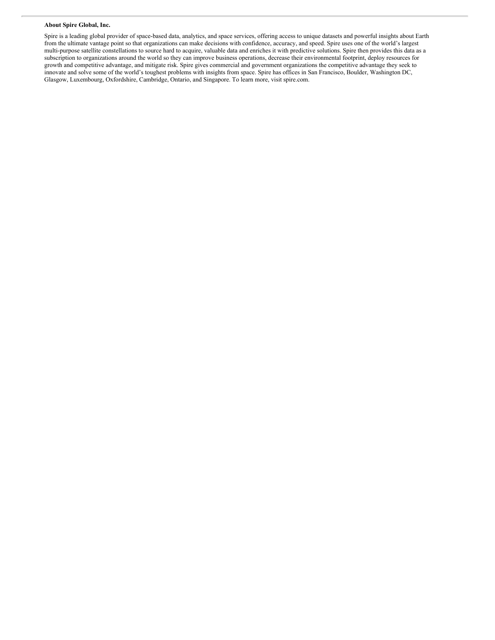#### **About Spire Global, Inc.**

Spire is a leading global provider of space-based data, analytics, and space services, offering access to unique datasets and powerful insights about Earth from the ultimate vantage point so that organizations can make decisions with confidence, accuracy, and speed. Spire uses one of the world's largest multi-purpose satellite constellations to source hard to acquire, valuable data and enriches it with predictive solutions. Spire then provides this data as a subscription to organizations around the world so they can improve business operations, decrease their environmental footprint, deploy resources for growth and competitive advantage, and mitigate risk. Spire gives commercial and government organizations the competitive advantage they seek to innovate and solve some of the world's toughest problems with insights from space. Spire has offices in San Francisco, Boulder, Washington DC, Glasgow, Luxembourg, Oxfordshire, Cambridge, Ontario, and Singapore. To learn more, visit spire.com.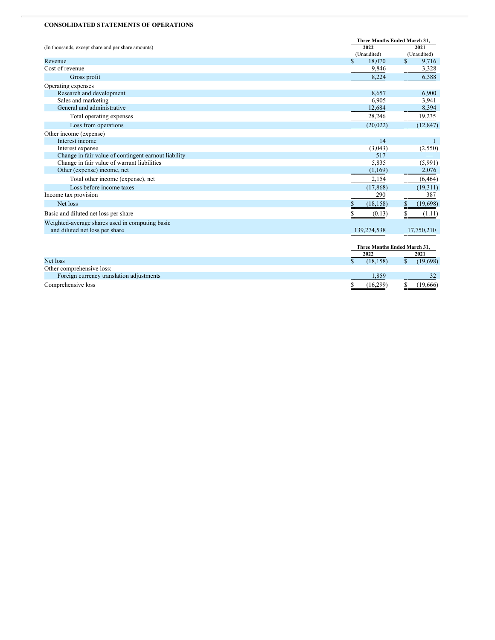#### <span id="page-10-0"></span>**CONSOLIDATED STATEMENTS OF OPERATIONS**

|                                                      | Three Months Ended March 31. |                       |
|------------------------------------------------------|------------------------------|-----------------------|
| (In thousands, except share and per share amounts)   | 2022                         | 2021                  |
|                                                      | (Unaudited)                  | (Unaudited)           |
| Revenue                                              | $\mathbb{S}$<br>18,070       | $\mathbb{S}$<br>9,716 |
| Cost of revenue                                      | 9,846                        | 3,328                 |
| Gross profit                                         | 8,224                        | 6,388                 |
| Operating expenses                                   |                              |                       |
| Research and development                             | 8,657                        | 6,900                 |
| Sales and marketing                                  | 6,905                        | 3,941                 |
| General and administrative                           | 12,684                       | 8,394                 |
| Total operating expenses                             | 28,246                       | 19,235                |
| Loss from operations                                 | (20, 022)                    | (12, 847)             |
| Other income (expense)                               |                              |                       |
| Interest income                                      | 14                           | 1                     |
| Interest expense                                     | (3,043)                      | (2,550)               |
| Change in fair value of contingent earnout liability | 517                          |                       |
| Change in fair value of warrant liabilities          | 5,835                        | (5,991)               |
| Other (expense) income, net                          | (1,169)                      | 2,076                 |
| Total other income (expense), net                    | 2,154                        | (6, 464)              |
| Loss before income taxes                             | (17, 868)                    | (19,311)              |
| Income tax provision                                 | 290                          | 387                   |
| Net loss                                             | \$<br>(18, 158)              | \$<br>(19,698)        |
| Basic and diluted net loss per share                 | \$<br>(0.13)                 | \$<br>(1.11)          |
| Weighted-average shares used in computing basic      |                              |                       |
| and diluted net loss per share                       | 139,274,538                  | 17,750,210            |
|                                                      |                              |                       |
|                                                      | Three Months Ended March 31, |                       |
|                                                      | 2022                         | 2021                  |
| Net loss                                             | $\mathsf{\$}$<br>(18, 158)   | \$<br>(19,698)        |

| Other comprehensive loss:                |          |          |
|------------------------------------------|----------|----------|
| Foreign currency translation adjustments |          |          |
| Comprehensive loss                       | (16.299) | (19,666) |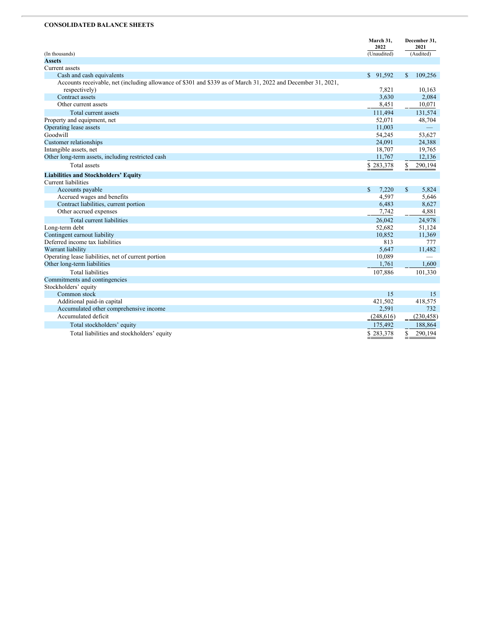# **CONSOLIDATED BALANCE SHEETS**

|                                                                                                              | March 31,<br>2022     | December 31,<br>2021     |
|--------------------------------------------------------------------------------------------------------------|-----------------------|--------------------------|
| (In thousands)                                                                                               | (Unaudited)           | (Audited)                |
| <b>Assets</b>                                                                                                |                       |                          |
| Current assets                                                                                               |                       |                          |
| Cash and cash equivalents                                                                                    | \$91,592              | 109,256<br>\$.           |
| Accounts receivable, net (including allowance of \$301 and \$339 as of March 31, 2022 and December 31, 2021, |                       |                          |
| respectively)                                                                                                | 7,821                 | 10,163                   |
| Contract assets                                                                                              | 3,630                 | 2,084                    |
| Other current assets                                                                                         | 8,451                 | 10,071                   |
| Total current assets                                                                                         | 111,494               | 131,574                  |
| Property and equipment, net                                                                                  | 52,071                | 48,704                   |
| Operating lease assets                                                                                       | 11,003                |                          |
| Goodwill                                                                                                     | 54,245                | 53.627                   |
| Customer relationships                                                                                       | 24,091                | 24,388                   |
| Intangible assets, net                                                                                       | 18,707                | 19,765                   |
| Other long-term assets, including restricted cash                                                            | 11,767                | 12,136                   |
| <b>Total</b> assets                                                                                          | \$283,378             | $\frac{1}{2}$<br>290,194 |
| <b>Liabilities and Stockholders' Equity</b>                                                                  |                       |                          |
| <b>Current liabilities</b>                                                                                   |                       |                          |
| Accounts payable                                                                                             | $\mathbb{S}$<br>7,220 | \$<br>5,824              |
| Accrued wages and benefits                                                                                   | 4.597                 | 5,646                    |
| Contract liabilities, current portion                                                                        | 6,483                 | 8,627                    |
| Other accrued expenses                                                                                       | 7,742                 | 4,881                    |
| Total current liabilities                                                                                    | 26,042                | 24,978                   |
| Long-term debt                                                                                               | 52,682                | 51,124                   |
| Contingent earnout liability                                                                                 | 10,852                | 11,369                   |
| Deferred income tax liabilities                                                                              | 813                   | 777                      |
| Warrant liability                                                                                            | 5,647                 | 11,482                   |
| Operating lease liabilities, net of current portion                                                          | 10,089                |                          |
| Other long-term liabilities                                                                                  | 1,761                 | 1,600                    |
| <b>Total liabilities</b>                                                                                     | 107,886               | 101,330                  |
| Commitments and contingencies                                                                                |                       |                          |
| Stockholders' equity                                                                                         |                       |                          |
| Common stock                                                                                                 | 15                    | 15                       |
| Additional paid-in capital                                                                                   | 421,502               | 418,575                  |
| Accumulated other comprehensive income                                                                       | 2,591                 | 732                      |
| Accumulated deficit                                                                                          | (248, 616)            | (230, 458)               |
| Total stockholders' equity                                                                                   | 175,492               | 188,864                  |
| Total liabilities and stockholders' equity                                                                   | \$283,378             | \$<br>290,194            |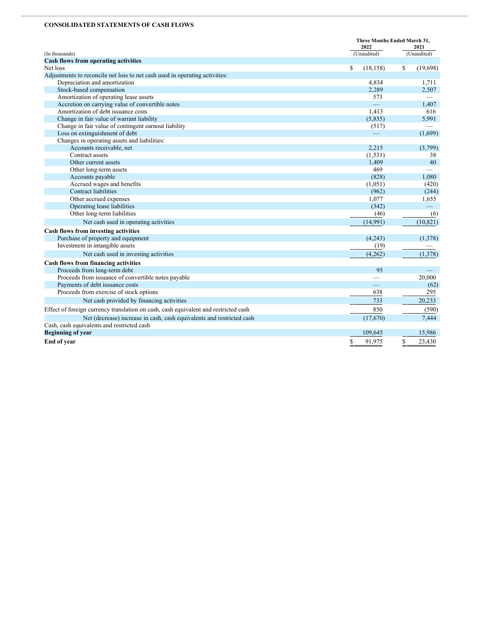# **CONSOLIDATED STATEMENTS OF CASH FLOWS**

|                                                                                     | Three Months Ended March 31,<br>2022 |                |  |
|-------------------------------------------------------------------------------------|--------------------------------------|----------------|--|
| (In thousands)                                                                      | (Unaudited)                          | (Unaudited)    |  |
| <b>Cash flows from operating activities</b>                                         |                                      |                |  |
| Net loss                                                                            | \$<br>(18, 158)                      | \$<br>(19,698) |  |
| Adjustments to reconcile net loss to net cash used in operating activities:         |                                      |                |  |
| Depreciation and amortization                                                       | 4,834                                | 1,711          |  |
| Stock-based compensation                                                            | 2,289                                | 2,507          |  |
| Amortization of operating lease assets                                              | 573                                  |                |  |
| Accretion on carrying value of convertible notes                                    |                                      | 1,407          |  |
| Amortization of debt issuance costs                                                 | 1.413                                | 616            |  |
| Change in fair value of warrant liability                                           | (5,835)                              | 5,991          |  |
| Change in fair value of contingent earnout liability                                | (517)                                |                |  |
| Loss on extinguishment of debt                                                      |                                      | (1,699)        |  |
| Changes in operating assets and liabilities:                                        |                                      |                |  |
| Accounts receivable, net                                                            | 2,215                                | (3,799)        |  |
| Contract assets                                                                     | (1, 531)                             | 38             |  |
| Other current assets                                                                | 1,409                                | 40             |  |
| Other long-term assets                                                              | 469                                  |                |  |
| Accounts payable                                                                    | (828)                                | 1.080          |  |
| Accrued wages and benefits                                                          | (1,051)                              | (420)          |  |
| <b>Contract liabilities</b>                                                         | (962)                                | (244)          |  |
| Other accrued expenses                                                              | 1,077                                | 1,655          |  |
| Operating lease liabilities                                                         | (342)                                |                |  |
| Other long-term liabilities                                                         | (46)                                 | (6)            |  |
| Net cash used in operating activities                                               | (14,991)                             | (10, 821)      |  |
| Cash flows from investing activities                                                |                                      |                |  |
| Purchase of property and equipment                                                  | (4,243)                              | (1,378)        |  |
| Investment in intangible assets                                                     | (19)                                 |                |  |
| Net cash used in investing activities                                               | (4,262)                              | (1,378)        |  |
| Cash flows from financing activities                                                |                                      |                |  |
| Proceeds from long-term debt                                                        | 95                                   | $\equiv$       |  |
| Proceeds from issuance of convertible notes payable                                 |                                      | 20,000         |  |
| Payments of debt issuance costs                                                     |                                      | (62)           |  |
| Proceeds from exercise of stock options                                             | 638                                  | 295            |  |
| Net cash provided by financing activities                                           | 733                                  | 20,233         |  |
| Effect of foreign currency translation on cash, cash equivalent and restricted cash | 850                                  | (590)          |  |
| Net (decrease) increase in cash, cash equivalents and restricted cash               | (17,670)                             | 7,444          |  |
| Cash, cash equivalents and restricted cash                                          |                                      |                |  |
| <b>Beginning of year</b>                                                            | 109,645                              | 15,986         |  |
| End of year                                                                         | \$<br>91,975                         | S<br>23,430    |  |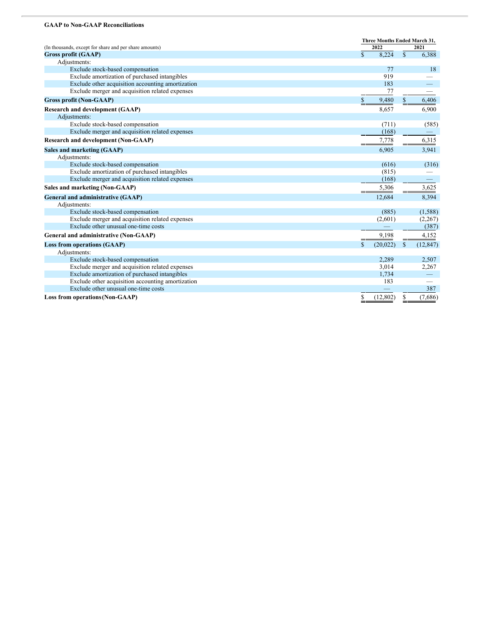#### **GAAP to Non-GAAP Reconciliations**

|                                                        | Three Months Ended March 31, |           |              |                          |
|--------------------------------------------------------|------------------------------|-----------|--------------|--------------------------|
| (In thousands, except for share and per share amounts) |                              | 2022      |              | 2021                     |
| <b>Gross profit (GAAP)</b>                             | $\mathbb{S}$                 | 8,224     | $\mathbb{S}$ | 6,388                    |
| Adjustments:                                           |                              |           |              |                          |
| Exclude stock-based compensation                       |                              | 77        |              | 18                       |
| Exclude amortization of purchased intangibles          |                              | 919       |              |                          |
| Exclude other acquisition accounting amortization      |                              | 183       |              |                          |
| Exclude merger and acquisition related expenses        |                              | 77        |              |                          |
| <b>Gross profit (Non-GAAP)</b>                         | S                            | 9,480     |              | 6,406                    |
| <b>Research and development (GAAP)</b>                 |                              | 8,657     |              | 6,900                    |
| Adjustments:                                           |                              |           |              |                          |
| Exclude stock-based compensation                       |                              | (711)     |              | (585)                    |
| Exclude merger and acquisition related expenses        |                              | (168)     |              |                          |
| <b>Research and development (Non-GAAP)</b>             |                              | 7,778     |              | 6,315                    |
| Sales and marketing (GAAP)                             |                              | 6.905     |              | 3,941                    |
| Adjustments:                                           |                              |           |              |                          |
| Exclude stock-based compensation                       |                              | (616)     |              | (316)                    |
| Exclude amortization of purchased intangibles          |                              | (815)     |              |                          |
| Exclude merger and acquisition related expenses        |                              | (168)     |              |                          |
| Sales and marketing (Non-GAAP)                         |                              | 5,306     |              | 3,625                    |
| General and administrative (GAAP)                      |                              | 12,684    |              | 8,394                    |
| Adjustments:                                           |                              |           |              |                          |
| Exclude stock-based compensation                       |                              | (885)     |              | (1,588)                  |
| Exclude merger and acquisition related expenses        |                              | (2,601)   |              | (2,267)                  |
| Exclude other unusual one-time costs                   |                              |           |              | (387)                    |
| General and administrative (Non-GAAP)                  |                              | 9,198     |              | 4,152                    |
| <b>Loss from operations (GAAP)</b>                     | \$                           | (20, 022) | $\mathbb{S}$ | (12, 847)                |
| Adjustments:                                           |                              |           |              |                          |
| Exclude stock-based compensation                       |                              | 2,289     |              | 2,507                    |
| Exclude merger and acquisition related expenses        |                              | 3,014     |              | 2,267                    |
| Exclude amortization of purchased intangibles          |                              | 1,734     |              | $\overline{\phantom{0}}$ |
| Exclude other acquisition accounting amortization      |                              | 183       |              |                          |
| Exclude other unusual one-time costs                   |                              |           |              | 387                      |
| <b>Loss from operations (Non-GAAP)</b>                 | \$                           | (12, 802) | \$           | (7,686)                  |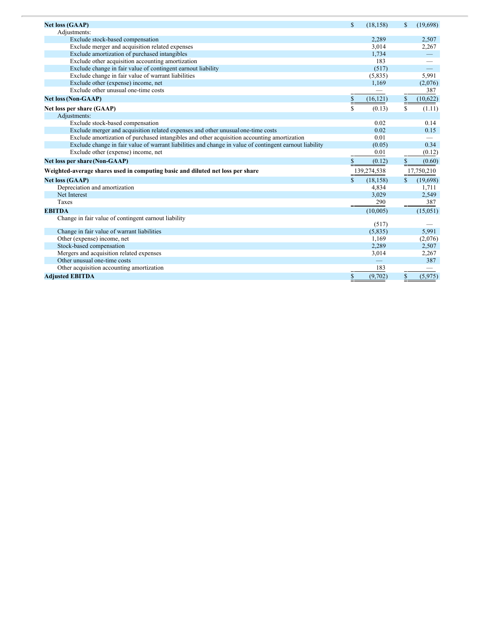| <b>Net loss (GAAP)</b>                                                                                  | $\mathbb{S}$ | (18, 158)   | \$   | (19,698)   |
|---------------------------------------------------------------------------------------------------------|--------------|-------------|------|------------|
| Adjustments:                                                                                            |              |             |      |            |
| Exclude stock-based compensation                                                                        |              | 2,289       |      | 2,507      |
| Exclude merger and acquisition related expenses                                                         |              | 3.014       |      | 2,267      |
| Exclude amortization of purchased intangibles                                                           |              | 1,734       |      |            |
| Exclude other acquisition accounting amortization                                                       |              | 183         |      |            |
| Exclude change in fair value of contingent earnout liability                                            |              | (517)       |      |            |
| Exclude change in fair value of warrant liabilities                                                     |              | (5,835)     |      | 5,991      |
| Exclude other (expense) income, net                                                                     |              | 1,169       |      | (2,076)    |
| Exclude other unusual one-time costs                                                                    |              |             |      | 387        |
|                                                                                                         |              |             |      |            |
| <b>Net loss (Non-GAAP)</b>                                                                              | $\S$         | (16, 121)   | $\S$ | (10,622)   |
| Net loss per share (GAAP)                                                                               | \$           | (0.13)      | \$   | (1.11)     |
| Adjustments:                                                                                            |              |             |      |            |
| Exclude stock-based compensation                                                                        |              | 0.02        |      | 0.14       |
| Exclude merger and acquisition related expenses and other unusual one-time costs                        |              | 0.02        |      | 0.15       |
| Exclude amortization of purchased intangibles and other acquisition accounting amortization             |              | 0.01        |      |            |
| Exclude change in fair value of warrant liabilities and change in value of contingent earnout liability |              | (0.05)      |      | 0.34       |
| Exclude other (expense) income, net                                                                     |              | 0.01        |      | (0.12)     |
| Net loss per share (Non-GAAP)                                                                           | \$           | (0.12)      | \$   | (0.60)     |
| Weighted-average shares used in computing basic and diluted net loss per share                          |              | 139,274,538 |      | 17,750,210 |
| <b>Net loss (GAAP)</b>                                                                                  | \$           | (18, 158)   |      | (19, 698)  |
| Depreciation and amortization                                                                           |              | 4,834       |      | 1,711      |
| Net Interest                                                                                            |              | 3,029       |      | 2,549      |
| Taxes                                                                                                   |              | 290         |      | 387        |
| <b>EBITDA</b>                                                                                           |              | (10,005)    |      | (15,051)   |
| Change in fair value of contingent earnout liability                                                    |              |             |      |            |
|                                                                                                         |              | (517)       |      |            |
| Change in fair value of warrant liabilities                                                             |              | (5,835)     |      | 5,991      |
| Other (expense) income, net                                                                             |              | 1,169       |      | (2,076)    |
| Stock-based compensation                                                                                |              | 2,289       |      | 2,507      |
| Mergers and acquisition related expenses                                                                |              | 3,014       |      | 2,267      |
| Other unusual one-time costs                                                                            |              |             |      | 387        |
| Other acquisition accounting amortization                                                               |              | 183         |      |            |
| <b>Adjusted EBITDA</b>                                                                                  | \$           | (9,702)     | \$   | (5,975)    |
|                                                                                                         |              |             |      |            |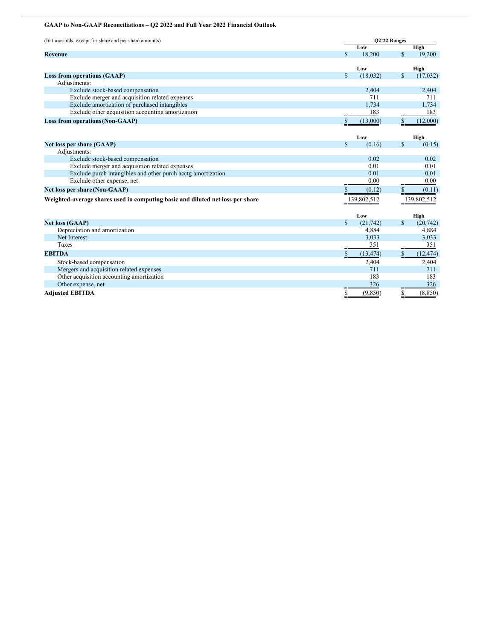# **GAAP to Non-GAAP Reconciliations – Q2 2022 and Full Year 2022 Financial Outlook**

| (In thousands, except for share and per share amounts)                         | Q2'22 Ranges |             |               |             |
|--------------------------------------------------------------------------------|--------------|-------------|---------------|-------------|
|                                                                                |              | Low         |               | High        |
| Revenue                                                                        | $\mathbb{S}$ | 18,200      | $\mathbf S$   | 19,200      |
|                                                                                |              |             |               |             |
|                                                                                |              | Low         |               | High        |
| <b>Loss from operations (GAAP)</b>                                             | \$           | (18, 032)   | \$            | (17,032)    |
| Adjustments:                                                                   |              |             |               |             |
| Exclude stock-based compensation                                               |              | 2,404       |               | 2,404       |
| Exclude merger and acquisition related expenses                                |              | 711         |               | 711         |
| Exclude amortization of purchased intangibles                                  |              | 1,734       |               | 1,734       |
| Exclude other acquisition accounting amortization                              |              | 183         |               | 183         |
| <b>Loss from operations (Non-GAAP)</b>                                         | \$           | (13,000)    | \$            | (12,000)    |
|                                                                                |              |             |               |             |
|                                                                                |              | Low         |               | High        |
| Net loss per share (GAAP)                                                      | $\mathbf S$  | (0.16)      | <sup>\$</sup> | (0.15)      |
| Adjustments:                                                                   |              |             |               |             |
| Exclude stock-based compensation                                               |              | 0.02        |               | 0.02        |
| Exclude merger and acquisition related expenses                                |              | 0.01        |               | 0.01        |
| Exclude purch intangibles and other purch acctg amortization                   |              | 0.01        |               | 0.01        |
| Exclude other expense, net                                                     |              | 0.00        |               | 0.00        |
| Net loss per share (Non-GAAP)                                                  | \$           | (0.12)      | \$            | (0.11)      |
| Weighted-average shares used in computing basic and diluted net loss per share |              | 139,802,512 |               | 139,802,512 |
|                                                                                |              |             |               |             |
|                                                                                |              | Low         |               | High        |
| <b>Net loss (GAAP)</b>                                                         | $\mathbf S$  | (21, 742)   | S             | (20, 742)   |
| Depreciation and amortization                                                  |              | 4,884       |               | 4,884       |
| Net Interest                                                                   |              | 3,033       |               | 3,033       |
| Taxes                                                                          |              | 351         |               | 351         |
| <b>EBITDA</b>                                                                  | \$           | (13, 474)   | S             | (12, 474)   |
| Stock-based compensation                                                       |              | 2,404       |               | 2,404       |
| Mergers and acquisition related expenses                                       |              | 711         |               | 711         |
| Other acquisition accounting amortization                                      |              | 183         |               | 183         |
| Other expense, net                                                             |              | 326         |               | 326         |
| <b>Adjusted EBITDA</b>                                                         | \$           | (9,850)     | \$            | (8, 850)    |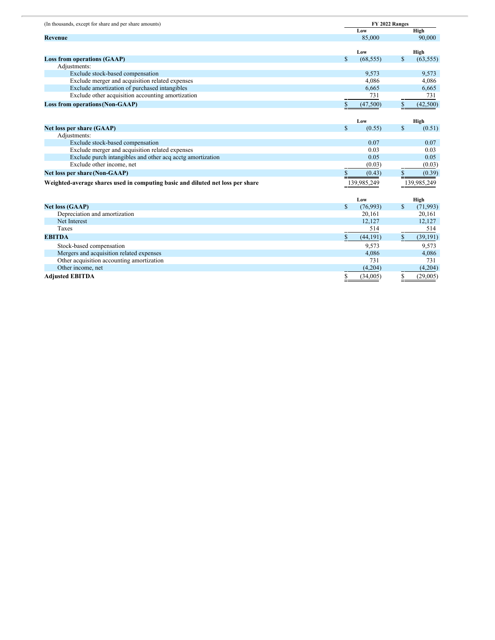| (In thousands, except for share and per share amounts)                         | FY 2022 Ranges |             |              |             |
|--------------------------------------------------------------------------------|----------------|-------------|--------------|-------------|
|                                                                                |                | Low         |              | High        |
| Revenue                                                                        |                | 85,000      |              | 90,000      |
|                                                                                |                |             |              |             |
|                                                                                |                | Low         |              | High        |
| <b>Loss from operations (GAAP)</b>                                             | \$             | (68, 555)   | <b>S</b>     | (63, 555)   |
| Adjustments:                                                                   |                |             |              |             |
| Exclude stock-based compensation                                               |                | 9,573       |              | 9,573       |
| Exclude merger and acquisition related expenses                                |                | 4,086       |              | 4,086       |
| Exclude amortization of purchased intangibles                                  |                | 6,665       |              | 6,665       |
| Exclude other acquisition accounting amortization                              |                | 731         |              | 731         |
| <b>Loss from operations (Non-GAAP)</b>                                         | \$             | (47,500)    | \$           | (42,500)    |
|                                                                                |                |             |              |             |
|                                                                                |                | Low         |              | High        |
| Net loss per share (GAAP)                                                      | $\mathbf S$    | (0.55)      | $\mathbf S$  | (0.51)      |
| Adjustments:                                                                   |                |             |              |             |
| Exclude stock-based compensation                                               |                | 0.07        |              | 0.07        |
| Exclude merger and acquisition related expenses                                |                | 0.03        |              | 0.03        |
| Exclude purch intangibles and other acq acctg amortization                     |                | 0.05        |              | 0.05        |
| Exclude other income, net                                                      |                | (0.03)      |              | (0.03)      |
| Net loss per share (Non-GAAP)                                                  | \$             | (0.43)      | $\mathbb{S}$ | (0.39)      |
|                                                                                |                | 139,985,249 |              |             |
| Weighted-average shares used in computing basic and diluted net loss per share |                |             |              | 139,985,249 |
|                                                                                |                |             |              |             |
|                                                                                |                | Low         |              | High        |
| <b>Net loss (GAAP)</b>                                                         | $\mathbf S$    | (76,993)    | $\mathbf S$  | (71, 993)   |
| Depreciation and amortization                                                  |                | 20,161      |              | 20,161      |
| Net Interest                                                                   |                | 12,127      |              | 12,127      |
| Taxes                                                                          |                | 514         |              | 514         |
| <b>EBITDA</b>                                                                  | $\mathbb{S}$   | (44, 191)   | \$           | (39, 191)   |
| Stock-based compensation                                                       |                | 9,573       |              | 9,573       |
| Mergers and acquisition related expenses                                       |                | 4,086       |              | 4,086       |
| Other acquisition accounting amortization                                      |                | 731         |              | 731         |
| Other income, net                                                              |                | (4,204)     |              | (4,204)     |
| <b>Adjusted EBITDA</b>                                                         | \$<br>==       | (34,005)    | \$           | (29,005)    |